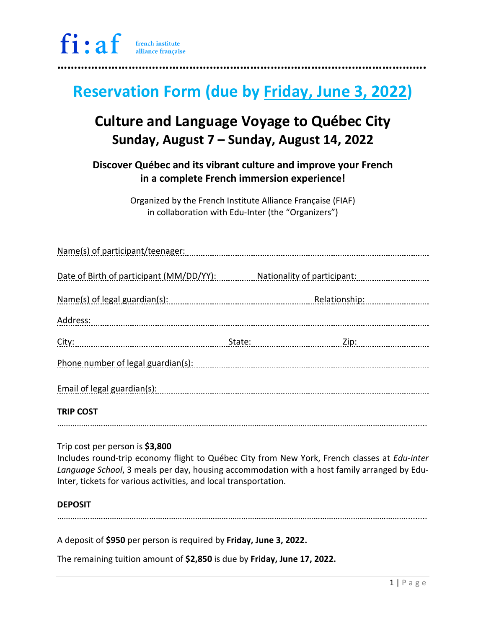# **Reservation Form (due by Friday, June 3, 2022)**

### **Culture and Language Voyage to Québec City Sunday, August 7 – Sunday, August 14, 2022**

**Discover Québec and its vibrant culture and improve your French in a complete French immersion experience!**

> Organized by the French Institute Alliance Française (FIAF) in collaboration with Edu-Inter (the "Organizers")

| Name(s) of participant/teenager:         |                             |                   |  |
|------------------------------------------|-----------------------------|-------------------|--|
| Date of Birth of participant (MM/DD/YY): | Nationality of participant: |                   |  |
| Name(s) of legal guardian(s):            |                             | Relationship:<br> |  |
| Address:                                 |                             |                   |  |
| City:                                    |                             | Zip: 2000         |  |
| Phone number of legal guardian(s):       |                             |                   |  |
| Email of legal guardian(s):              |                             |                   |  |
| <b>TRIP COST</b>                         |                             |                   |  |

Trip cost per person is **\$3,800**

Includes round-trip economy flight to Québec City from New York, French classes at *Edu-inter Language School*, 3 meals per day, housing accommodation with a host family arranged by Edu-Inter, tickets for various activities, and local transportation.

…………………………………………………………………………………………………………………………………………….........

### **DEPOSIT**

…………………………………………………………………………………………………………………………………………….........

A deposit of **\$950** per person is required by **Friday, June 3, 2022.**

The remaining tuition amount of **\$2,850** is due by **Friday, June 17, 2022.**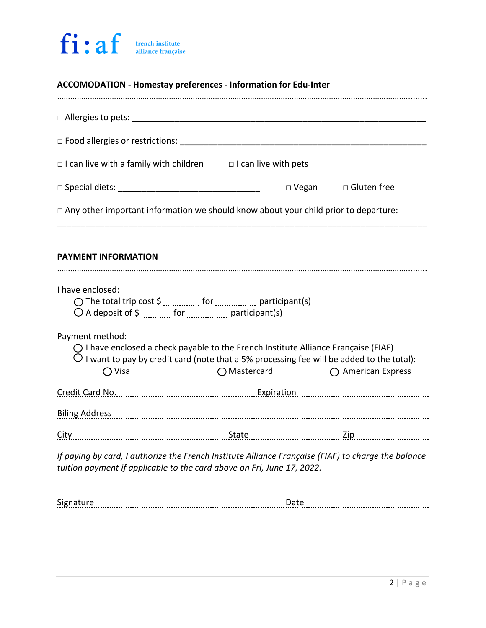### fi:af french institute<br>alliance française

| <b>ACCOMODATION - Homestay preferences - Information for Edu-Inter</b>                                                                                                                                                           |                       |                            |  |  |  |
|----------------------------------------------------------------------------------------------------------------------------------------------------------------------------------------------------------------------------------|-----------------------|----------------------------|--|--|--|
|                                                                                                                                                                                                                                  |                       |                            |  |  |  |
|                                                                                                                                                                                                                                  |                       |                            |  |  |  |
| $\Box$ I can live with a family with children $\Box$ I can live with pets                                                                                                                                                        |                       |                            |  |  |  |
|                                                                                                                                                                                                                                  |                       | □ Vegan □ Gluten free      |  |  |  |
| $\Box$ Any other important information we should know about your child prior to departure:                                                                                                                                       |                       |                            |  |  |  |
| <b>PAYMENT INFORMATION</b>                                                                                                                                                                                                       |                       |                            |  |  |  |
| I have enclosed:                                                                                                                                                                                                                 |                       |                            |  |  |  |
| Payment method:<br>$\bigcirc$ I have enclosed a check payable to the French Institute Alliance Française (FIAF)<br>$\bigcirc$ I want to pay by credit card (note that a 5% processing fee will be added to the total):<br>◯ Visa | $\bigcirc$ Mastercard | $\bigcap$ American Express |  |  |  |
| Credit Card No. 2008. Expiration. Expiration. 2016. Credit Card No. 2016. All and the Expiration. 2016. Expiration.                                                                                                              |                       |                            |  |  |  |
| Biling Address Manual Manual Manual Manual Manual Manual Manual Manual Manual Manual Manual Manual Manual Manu                                                                                                                   |                       |                            |  |  |  |
| City                                                                                                                                                                                                                             |                       |                            |  |  |  |
| If paying by card, I authorize the French Institute Alliance Française (FIAF) to charge the balance<br>tuition payment if applicable to the card above on Fri, June 17, 2022.                                                    |                       |                            |  |  |  |
| <b>Signature</b>                                                                                                                                                                                                                 |                       |                            |  |  |  |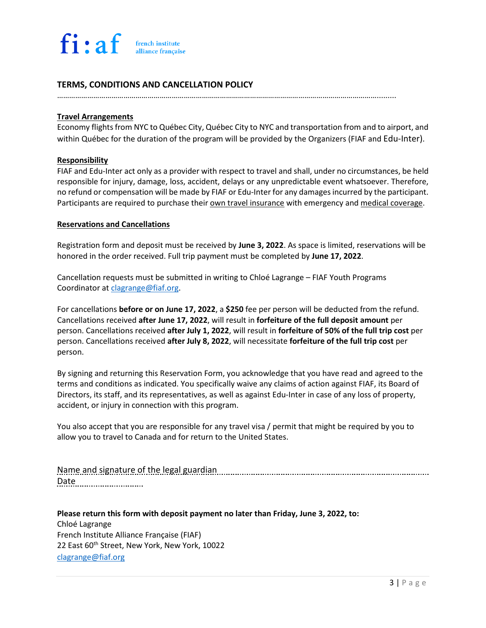### **TERMS, CONDITIONS AND CANCELLATION POLICY**

…………………………………………………………………………………………………………………………………………….........

#### **Travel Arrangements**

Economy flights from NYC to Québec City, Québec City to NYC and transportation from and to airport, and within Québec for the duration of the program will be provided by the Organizers (FIAF and Edu-Inter).

#### **Responsibility**

FIAF and Edu-Inter act only as a provider with respect to travel and shall, under no circumstances, be held responsible for injury, damage, loss, accident, delays or any unpredictable event whatsoever. Therefore, no refund or compensation will be made by FIAF or Edu-Inter for any damages incurred by the participant. Participants are required to purchase their own travel insurance with emergency and medical coverage.

#### **Reservations and Cancellations**

Registration form and deposit must be received by **June 3, 2022**. As space is limited, reservations will be honored in the order received. Full trip payment must be completed by **June 17, 2022**.

Cancellation requests must be submitted in writing to Chloé Lagrange – FIAF Youth Programs Coordinator at [clagrange@fiaf.org.](mailto:clagrange@fiaf.org)

For cancellations **before or on June 17, 2022**, a **\$250** fee per person will be deducted from the refund. Cancellations received **after June 17, 2022**, will result in **forfeiture of the full deposit amount** per person. Cancellations received **after July 1, 2022**, will result in **forfeiture of 50% of the full trip cost** per person. Cancellations received **after July 8, 2022**, will necessitate **forfeiture of the full trip cost** per person.

By signing and returning this Reservation Form, you acknowledge that you have read and agreed to the terms and conditions as indicated. You specifically waive any claims of action against FIAF, its Board of Directors, its staff, and its representatives, as well as against Edu-Inter in case of any loss of property, accident, or injury in connection with this program.

You also accept that you are responsible for any travel visa / permit that might be required by you to allow you to travel to Canada and for return to the United States.

Name and signature of the legal guardian *manufarmal manufarmal means and signature of the legal guardian* **manufarmal means and signature of the legal guardian manufarmal means and means and means and means and means and** Date

**Please return this form with deposit payment no later than Friday, June 3, 2022, to:** Chloé Lagrange French Institute Alliance Française (FIAF) 22 East 60<sup>th</sup> Street, New York, New York, 10022 [clagrange@fiaf.org](mailto:clagrange@fiaf.org)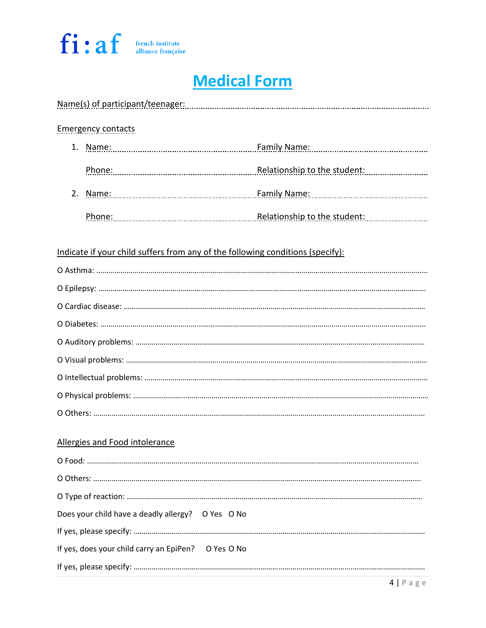

# **Medical Form**

| Allergies and Food intolerance | Does your child have a deadly allergy? O Yes O No<br>If yes, does your child carry an EpiPen? O Yes O No | Indicate if your child suffers from any of the following conditions (specify): |
|--------------------------------|----------------------------------------------------------------------------------------------------------|--------------------------------------------------------------------------------|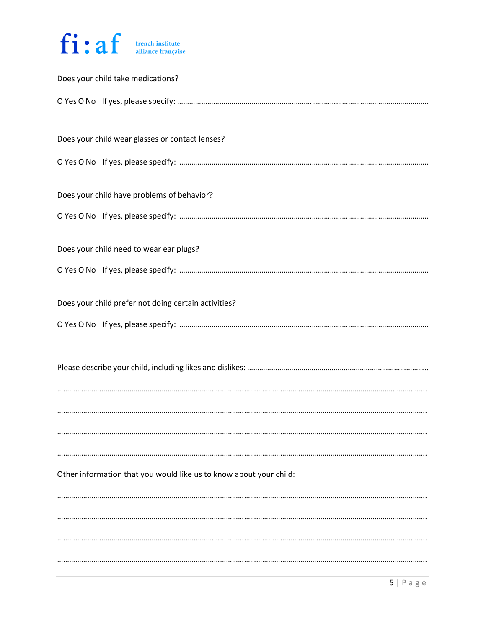

| Does your child take medications?                                  |
|--------------------------------------------------------------------|
|                                                                    |
| Does your child wear glasses or contact lenses?                    |
|                                                                    |
| Does your child have problems of behavior?                         |
|                                                                    |
| Does your child need to wear ear plugs?                            |
|                                                                    |
| Does your child prefer not doing certain activities?               |
|                                                                    |
|                                                                    |
|                                                                    |
|                                                                    |
| Other information that you would like us to know about your child: |
|                                                                    |
|                                                                    |
|                                                                    |
|                                                                    |